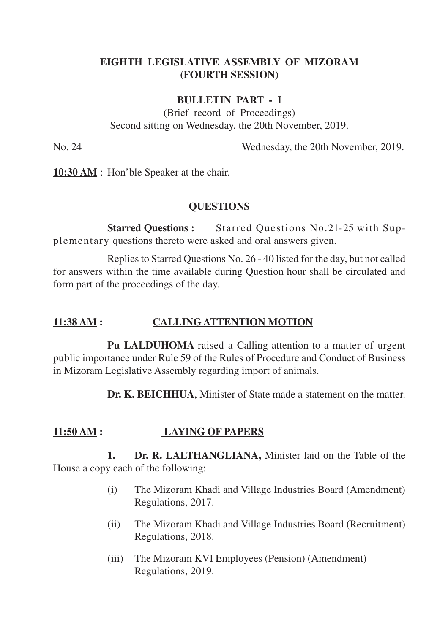# **EIGHTH LEGISLATIVE ASSEMBLY OF MIZORAM (FOURTH SESSION)**

#### **BULLETIN PART - I**

(Brief record of Proceedings) Second sitting on Wednesday, the 20th November, 2019.

No. 24 Wednesday, the 20th November, 2019.

**10:30 AM** : Hon'ble Speaker at the chair.

#### **QUESTIONS**

**Starred Questions :** Starred Questions No.21-25 with Supplementary questions thereto were asked and oral answers given.

Replies to Starred Questions No. 26 - 40 listed for the day, but not called for answers within the time available during Question hour shall be circulated and form part of the proceedings of the day.

### **11:38 AM : CALLINGATTENTION MOTION**

**Pu LALDUHOMA** raised a Calling attention to a matter of urgent public importance under Rule 59 of the Rules of Procedure and Conduct of Business in Mizoram Legislative Assembly regarding import of animals.

**Dr. K. BEICHHUA**, Minister of State made a statement on the matter.

## **11:50 AM : LAYING OF PAPERS**

**1. Dr. R. LALTHANGLIANA,** Minister laid on the Table of the House a copy each of the following:

- (i) The Mizoram Khadi and Village Industries Board (Amendment) Regulations, 2017.
- (ii) The Mizoram Khadi and Village Industries Board (Recruitment) Regulations, 2018.
- (iii) The Mizoram KVI Employees (Pension) (Amendment) Regulations, 2019.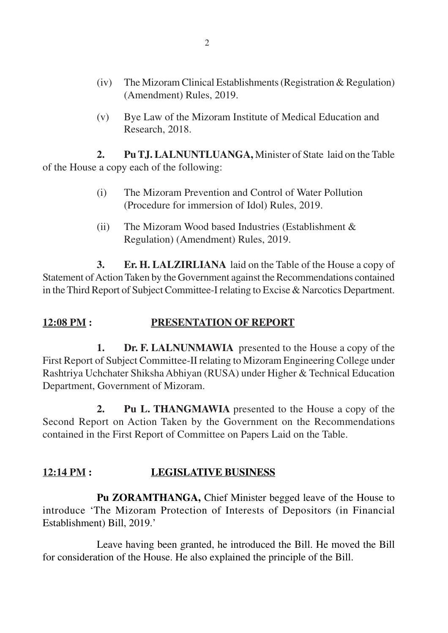- (iv) The Mizoram Clinical Establishments (Registration & Regulation) (Amendment) Rules, 2019.
- (v) Bye Law of the Mizoram Institute of Medical Education and Research, 2018.

**2. Pu TJ. LALNUNTLUANGA,** Minister of State laid on the Table of the House a copy each of the following:

- (i) The Mizoram Prevention and Control of Water Pollution (Procedure for immersion of Idol) Rules, 2019.
- (ii) The Mizoram Wood based Industries (Establishment & Regulation) (Amendment) Rules, 2019.

**3. Er. H. LALZIRLIANA** laid on the Table of the House a copy of Statement of Action Taken by the Government against the Recommendations contained in the Third Report of Subject Committee-I relating to Excise & Narcotics Department.

# **12:08 PM : PRESENTATION OF REPORT**

**1. Dr. F. LALNUNMAWIA** presented to the House a copy of the First Report of Subject Committee-II relating to Mizoram Engineering College under Rashtriya Uchchater Shiksha Abhiyan (RUSA) under Higher & Technical Education Department, Government of Mizoram.

**2. Pu L. THANGMAWIA** presented to the House a copy of the Second Report on Action Taken by the Government on the Recommendations contained in the First Report of Committee on Papers Laid on the Table.

# **12:14 PM : LEGISLATIVE BUSINESS**

**Pu ZORAMTHANGA,** Chief Minister begged leave of the House to introduce 'The Mizoram Protection of Interests of Depositors (in Financial Establishment) Bill, 2019.'

Leave having been granted, he introduced the Bill. He moved the Bill for consideration of the House. He also explained the principle of the Bill.